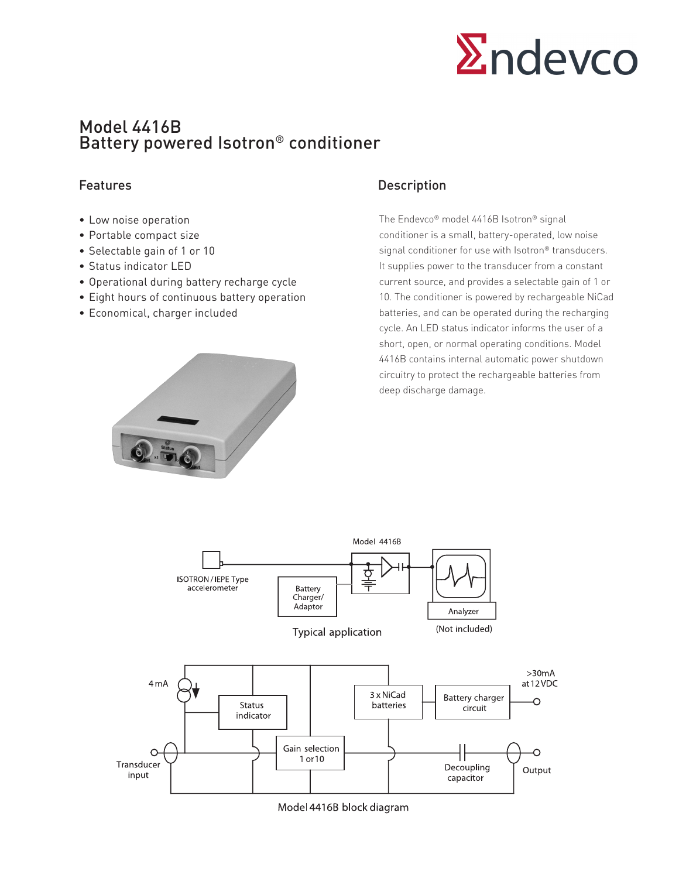

## Model 4416B Battery powered Isotron® conditioner

- Low noise operation
- Portable compact size
- Selectable gain of 1 or 10
- Status indicator LED
- Operational during battery recharge cycle
- Eight hours of continuous battery operation
- Economical, charger included

## Features **Description**

The Endevco® model 4416B Isotron® signal conditioner is a small, battery-operated, low noise signal conditioner for use with Isotron® transducers. It supplies power to the transducer from a constant current source, and provides a selectable gain of 1 or 10. The conditioner is powered by rechargeable NiCad batteries, and can be operated during the recharging cycle. An LED status indicator informs the user of a short, open, or normal operating conditions. Model 4416B contains internal automatic power shutdown circuitry to protect the rechargeable batteries from deep discharge damage.